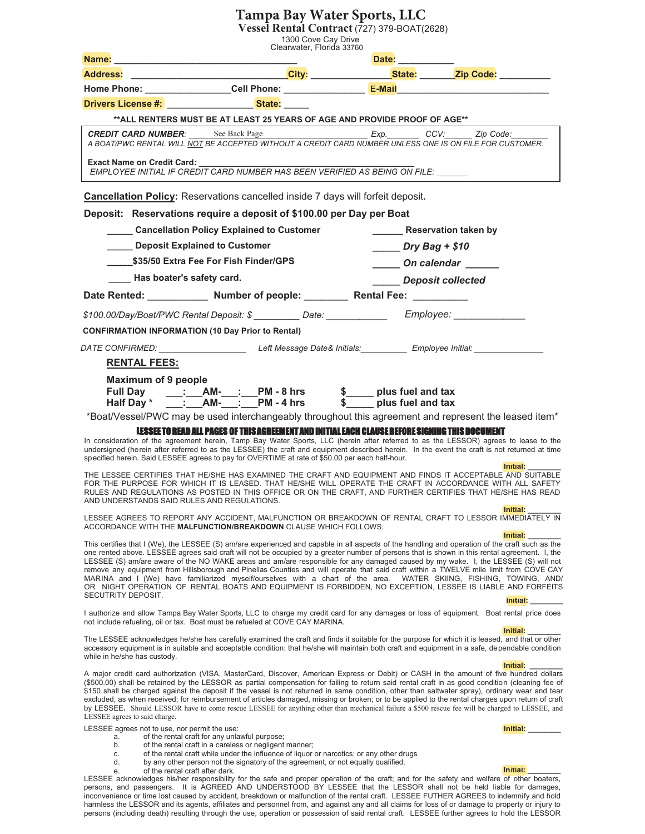### **Tampa Bay Water Sports, LLC**

**Vessel Rental Contract** (727) 379-BOAT(2628)

1300 Cove Cay Drive

|                                                                                                                | Clearwater, Florida 33760                                                                                                                                                                                                                                                                                                                                                                                                                                                                                                                                                                                                                                                                                                                                                                                           | Date: the contract of the contract of the contract of the contract of the contract of the contract of the contract of the contract of the contract of the contract of the contract of the contract of the contract of the cont |                                              |  |  |  |
|----------------------------------------------------------------------------------------------------------------|---------------------------------------------------------------------------------------------------------------------------------------------------------------------------------------------------------------------------------------------------------------------------------------------------------------------------------------------------------------------------------------------------------------------------------------------------------------------------------------------------------------------------------------------------------------------------------------------------------------------------------------------------------------------------------------------------------------------------------------------------------------------------------------------------------------------|--------------------------------------------------------------------------------------------------------------------------------------------------------------------------------------------------------------------------------|----------------------------------------------|--|--|--|
| <b>Address:</b>                                                                                                | ___________________________ <mark>City:</mark> _____________ <mark>State:</mark> ______ <mark>Zip Code:</mark> _________                                                                                                                                                                                                                                                                                                                                                                                                                                                                                                                                                                                                                                                                                            |                                                                                                                                                                                                                                |                                              |  |  |  |
|                                                                                                                |                                                                                                                                                                                                                                                                                                                                                                                                                                                                                                                                                                                                                                                                                                                                                                                                                     |                                                                                                                                                                                                                                |                                              |  |  |  |
| <b>Drivers License #: State: State: State:</b>                                                                 |                                                                                                                                                                                                                                                                                                                                                                                                                                                                                                                                                                                                                                                                                                                                                                                                                     |                                                                                                                                                                                                                                |                                              |  |  |  |
|                                                                                                                | ** ALL RENTERS MUST BE AT LEAST 25 YEARS OF AGE AND PROVIDE PROOF OF AGE**                                                                                                                                                                                                                                                                                                                                                                                                                                                                                                                                                                                                                                                                                                                                          |                                                                                                                                                                                                                                |                                              |  |  |  |
|                                                                                                                | CREDIT CARD NUMBER: See Back Page<br>A BOAT/PWC RENTAL WILL NOT BE ACCEPTED WITHOUT A CREDIT CARD NUMBER UNLESS ONE IS ON FILE FOR CUSTOMER.                                                                                                                                                                                                                                                                                                                                                                                                                                                                                                                                                                                                                                                                        |                                                                                                                                                                                                                                |                                              |  |  |  |
| <b>Exact Name on Credit Card:</b>                                                                              | EMPLOYEE INITIAL IF CREDIT CARD NUMBER HAS BEEN VERIFIED AS BEING ON FILE:                                                                                                                                                                                                                                                                                                                                                                                                                                                                                                                                                                                                                                                                                                                                          |                                                                                                                                                                                                                                |                                              |  |  |  |
|                                                                                                                | Cancellation Policy: Reservations cancelled inside 7 days will forfeit deposit.                                                                                                                                                                                                                                                                                                                                                                                                                                                                                                                                                                                                                                                                                                                                     |                                                                                                                                                                                                                                |                                              |  |  |  |
|                                                                                                                | Deposit: Reservations require a deposit of \$100.00 per Day per Boat                                                                                                                                                                                                                                                                                                                                                                                                                                                                                                                                                                                                                                                                                                                                                |                                                                                                                                                                                                                                |                                              |  |  |  |
|                                                                                                                | ______ Cancellation Policy Explained to Customer                                                                                                                                                                                                                                                                                                                                                                                                                                                                                                                                                                                                                                                                                                                                                                    |                                                                                                                                                                                                                                | <b>Reservation taken by</b>                  |  |  |  |
| Deposit Explained to Customer                                                                                  |                                                                                                                                                                                                                                                                                                                                                                                                                                                                                                                                                                                                                                                                                                                                                                                                                     | $Dry Bag + $10$                                                                                                                                                                                                                |                                              |  |  |  |
| \$35/50 Extra Fee For Fish Finder/GPS                                                                          |                                                                                                                                                                                                                                                                                                                                                                                                                                                                                                                                                                                                                                                                                                                                                                                                                     | On calendar ______                                                                                                                                                                                                             |                                              |  |  |  |
| Has boater's safety card.                                                                                      |                                                                                                                                                                                                                                                                                                                                                                                                                                                                                                                                                                                                                                                                                                                                                                                                                     | Deposit collected                                                                                                                                                                                                              |                                              |  |  |  |
|                                                                                                                | Date Rented: _____________ Number of people: _________ Rental Fee: _________                                                                                                                                                                                                                                                                                                                                                                                                                                                                                                                                                                                                                                                                                                                                        |                                                                                                                                                                                                                                |                                              |  |  |  |
|                                                                                                                | \$100.00/Day/Boat/PWC Rental Deposit: \$ _________ Date: ____________ Employee: ___                                                                                                                                                                                                                                                                                                                                                                                                                                                                                                                                                                                                                                                                                                                                 |                                                                                                                                                                                                                                |                                              |  |  |  |
| <b>CONFIRMATION INFORMATION (10 Day Prior to Rental)</b>                                                       |                                                                                                                                                                                                                                                                                                                                                                                                                                                                                                                                                                                                                                                                                                                                                                                                                     |                                                                                                                                                                                                                                |                                              |  |  |  |
|                                                                                                                | DATE CONFIRMED: __________________________Left Message Date& Initials:___________ Employee Initial: _                                                                                                                                                                                                                                                                                                                                                                                                                                                                                                                                                                                                                                                                                                               |                                                                                                                                                                                                                                |                                              |  |  |  |
| <b>RENTAL FEES:</b>                                                                                            |                                                                                                                                                                                                                                                                                                                                                                                                                                                                                                                                                                                                                                                                                                                                                                                                                     |                                                                                                                                                                                                                                |                                              |  |  |  |
| Maximum of 9 people<br><b>Full Day</b><br>Half Day *                                                           | ___:___AM-___:___PM - 8 hrs \$_____ plus fuel and tax<br>___:__AM-___:__PM - 4 hrs \$____ plus fuel and tax                                                                                                                                                                                                                                                                                                                                                                                                                                                                                                                                                                                                                                                                                                         |                                                                                                                                                                                                                                |                                              |  |  |  |
|                                                                                                                | *Boat/Vessel/PWC may be used interchangeably throughout this agreement and represent the leased item*                                                                                                                                                                                                                                                                                                                                                                                                                                                                                                                                                                                                                                                                                                               |                                                                                                                                                                                                                                |                                              |  |  |  |
|                                                                                                                | LESSEE TO READ ALL PAGES OF THISAGREEMENT AND INITIAL EACH CLAUSE BEFORE SIGNING THIS DOCUMENT<br>In consideration of the agreement herein, Tamp Bay Water Sports, LLC (herein after referred to as the LESSOR) agrees to lease to the<br>undersigned (herein after referred to as the LESSEE) the craft and equipment described herein. In the event the craft is not returned at time<br>specified herein. Said LESSEE agrees to pay for OVERTIME at rate of \$50.00 per each half-hour.<br>THE LESSEE CERTIFIES THAT HE/SHE HAS EXAMINED THE CRAFT AND EQUIPMENT AND FINDS IT ACCEPTABLE AND SUITABLE                                                                                                                                                                                                            |                                                                                                                                                                                                                                | Initial:                                     |  |  |  |
| AND UNDERSTANDS SAID RULES AND REGULATIONS.                                                                    | FOR THE PURPOSE FOR WHICH IT IS LEASED. THAT HE/SHE WILL OPERATE THE CRAFT IN ACCORDANCE WITH ALL SAFETY<br>RULES AND REGULATIONS AS POSTED IN THIS OFFICE OR ON THE CRAFT, AND FURTHER CERTIFIES THAT HE/SHE HAS READ                                                                                                                                                                                                                                                                                                                                                                                                                                                                                                                                                                                              |                                                                                                                                                                                                                                | Initial:                                     |  |  |  |
|                                                                                                                | LESSEE AGREES TO REPORT ANY ACCIDENT, MALFUNCTION OR BREAKDOWN OF RENTAL CRAFT TO LESSOR IMMEDIATELY IN<br>ACCORDANCE WITH THE MALFUNCTION/BREAKDOWN CLAUSE WHICH FOLLOWS.                                                                                                                                                                                                                                                                                                                                                                                                                                                                                                                                                                                                                                          |                                                                                                                                                                                                                                | Initial:                                     |  |  |  |
|                                                                                                                | This certifies that I (We), the LESSEE (S) am/are experienced and capable in all aspects of the handling and operation of the craft such as the<br>one rented above. LESSEE agrees said craft will not be occupied by a greater number of persons that is shown in this rental agreement. I, the<br>LESSEE (S) am/are aware of the NO WAKE areas and am/are responsible for any damaged caused by my wake. I, the LESSEE (S) will not<br>remove any equipment from Hillsborough and Pinellas Counties and will operate that said craft within a TWELVE mile limit from COVE CAY<br>MARINA and I (We) have familiarized myself/ourselves with a chart of the area. WATER SKIING, FISHING, TOWING, AND/<br>OR NIGHT OPERATION OF RENTAL BOATS AND EQUIPMENT IS FORBIDDEN, NO EXCEPTION, LESSEE IS LIABLE AND FORFEITS |                                                                                                                                                                                                                                |                                              |  |  |  |
| SECUTRITY DEPOSIT.                                                                                             | I authorize and allow Tampa Bay Water Sports, LLC to charge my credit card for any damages or loss of equipment. Boat rental price does<br>not include refueling, oil or tax. Boat must be refueled at COVE CAY MARINA.                                                                                                                                                                                                                                                                                                                                                                                                                                                                                                                                                                                             |                                                                                                                                                                                                                                | Initial:                                     |  |  |  |
|                                                                                                                | The LESSEE acknowledges he/she has carefully examined the craft and finds it suitable for the purpose for which it is leased, and that or other<br>accessory equipment is in suitable and acceptable condition: that he/she will maintain both craft and equipment in a safe, dependable condition                                                                                                                                                                                                                                                                                                                                                                                                                                                                                                                  |                                                                                                                                                                                                                                | Initial:                                     |  |  |  |
| while in he/she has custody.<br>LESSEE agrees to said charge.                                                  | A major credit card authorization (VISA, MasterCard, Discover, American Express or Debit) or CASH in the amount of five hundred dollars<br>(\$500.00) shall be retained by the LESSOR as partial compensation for failing to return said rental craft in as good condition (cleaning fee of<br>\$150 shall be charged against the deposit if the vessel is not returned in same condition, other than saltwater spray), ordinary wear and tear<br>excluded, as when received; for reimbursement of articles damaged, missing or broken; or to be applied to the rental charges upon return of craft<br>by LESSEE. Should LESSOR have to come rescue LESSEE for anything other than mechanical failure a \$500 rescue fee will be charged to LESSEE, and                                                             |                                                                                                                                                                                                                                | Initial:                                     |  |  |  |
| LESSEE agrees not to use, nor permit the use:<br>a.<br>b.<br>C.<br>d.<br>of the rental craft after dark.<br>е. | of the rental craft for any unlawful purpose;<br>of the rental craft in a careless or negligent manner;<br>of the rental craft while under the influence of liquor or narcotics; or any other drugs<br>by any other person not the signatory of the agreement, or not equally qualified.<br>LESSEE acknowledges his/her responsibility for the safe and proper operation of the craft; and for the safety and welfare of other boaters,                                                                                                                                                                                                                                                                                                                                                                             |                                                                                                                                                                                                                                | Initial: <b>Alice Strategies</b><br>Initial: |  |  |  |

persons, and passengers. It is AGREED AND UNDERSTOOD BY LESSEE that the LESSOR shall not be held liable for damages, inconvenience or time lost caused by accident, breakdown or malfunction of the rental craft. LESSEE FUTHER AGREES to indemnify and hold harmless the LESSOR and its agents, affiliates and personnel from, and against any and all claims for loss of or damage to property or injury to persons (including death) resulting through the use, operation or possession of said rental craft. LESSEE further agrees to hold the LESSOR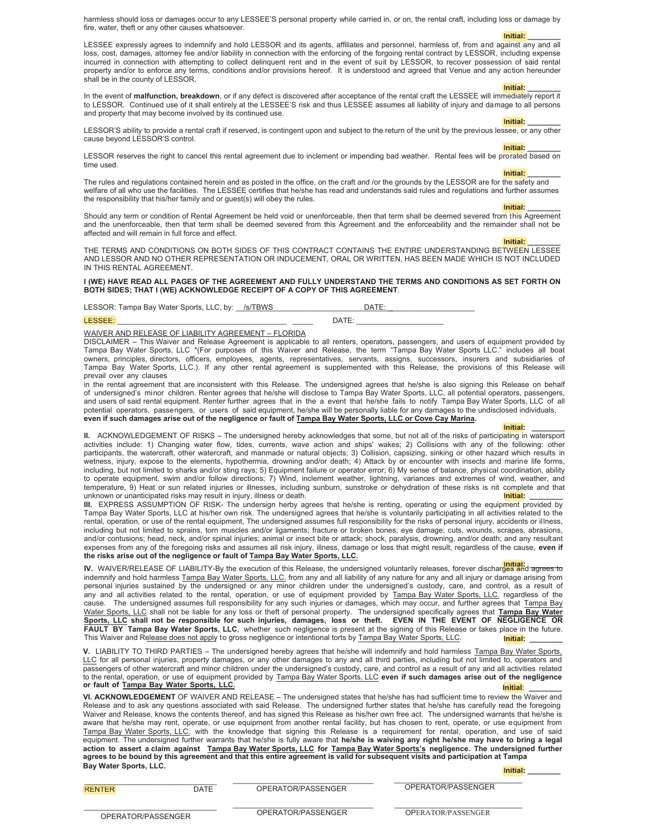harmless should loss or damages occur to any LESSEE'S personal property while carried in, or on, the rental craft, including loss or damage by fire, water, theft or any other causes whatsoever.

> **Initial: \_\_\_\_\_\_\_\_ \_**

LESSEE expressly agrees to indemnify and hold LESSOR and its agents, affiliates and personnel, harmless of, from and against any and all loss, cost, damages, attorney fee and/or liability in connection with the enforcing of the forgoing rental contract by LESSOR, including expense incurred in connection with attempting to collect delinquent rent and in the event of suit by LESSOR, to recover possession of said rental property and/or to enforce any terms, conditions and/or provisions hereof. It is understood and agreed that Venue and any action hereunder shall be in the county of LESSOR.

**Initial: \_\_\_\_\_\_\_\_ Initial:** In the event of **malfunction, breakdown**, or if any defect is discovered after acceptance of the rental craft the LESSEE will immediately report it to LESSOR. Continued use of it shall entirely at the LESSEE'S risk and thus LESSEE assumes all liability of injury and damage to all persons and property that may become involved by its continued use.

**Initial: \_\_\_\_\_\_\_\_ Initial:** LESSOR'S ability to provide a rental craft if reserved, is contingent upon and subject to the return of the unit by the previous lessee, or any other cause beyond LESSOR'S control.

**Initial: \_\_\_\_\_\_\_\_ Initial:** LESSOR reserves the right to cancel this rental agreement due to inclement or impending bad weather. Rental fees will be prorated based on time used.

**Initial: \_\_\_\_\_\_\_\_**

The rules and regulations contained herein and as posted in the office, on the craft and /or the grounds by the LESSOR are for the safety and welfare of all who use the facilities. The LESSEE certifies that he/she has read and understands said rules and regulations and further assumes the responsibility that his/her family and or guest(s) will obey the rules.

**Initial: \_\_\_\_\_\_\_\_ Initial:**

Should any term or condition of Rental Agreement be held void or unenforceable, then that term shall be deemed severed from this Agreement and the unenforceable, then that term shall be deemed severed from this Agreement and the enforceability and the remainder shall not be affected and will remain in full force and effect.

> **Initial: \_\_\_\_\_\_\_\_ \_**

THE TERMS AND CONDITIONS ON BOTH SIDES OF THIS CONTRACT CONTAINS THE ENTIRE UNDERSTANDING BETWEEN LESSEE AND LESSOR AND NO OTHER REPRESENTATION OR INDUCEMENT, ORAL OR WRITTEN, HAS BEEN MADE WHICH IS NOT INCLUDED IN THIS RENTAL AGREEMENT.

**I (WE) HAVE READ ALL PAGES OF THE AGREEMENT AND FULLY UNDERSTAND THE TERMS AND CONDITIONS AS SET FORTH ON BOTH SIDES; THAT I (WE) ACKNOWLEDGE RECEIPT OF A COPY OF THIS AGREEMENT**.

LESSOR: Tampa Bay Water Sports, LLC, by: \_\_/s/TBWS \_\_\_\_\_\_\_\_\_\_\_\_\_\_\_\_\_\_\_\_\_\_\_\_DATE: \_

LESSEE: \_\_\_\_\_\_\_\_\_\_\_\_\_\_\_\_\_\_\_\_\_\_\_\_\_\_\_\_\_\_\_\_\_\_\_\_\_\_\_\_\_ \_\_\_\_\_ DATE: \_\_\_\_\_\_\_\_\_\_\_\_\_\_\_\_\_\_\_\_\_ \_

WAIVER AND RELEASE OF LIABILITY AGREEMENT – FLORIDA

DISCLAIMER – This Waiver and Release Agreement is applicable to all renters, operators, passengers, and users of equipment provided by Tampa Bay Water Sports, LLC \*(For purposes of this Waiver and Release, the term "Tampa Bay Water Sports LLC." includes all boat owners, principles, directors, officers, employees, agents, representatives, servants, assigns, successors, insurers and subsidiaries of Tampa Bay Water Sports, LLC.). If any other rental agreement is supplemented with this Release, the provisions of this Release will prevail over any clauses

in the rental agreement that are inconsistent with this Release. The undersigned agrees that he/she is also signing this Release on behalf of undersigned's minor children. Renter agrees that he/she will disclose to Tampa Bay Water Sports, LLC, all potential operators, passengers, and users of said rental equipment. Renter further agrees that in the a event that he/she fails to notify Tampa Bay Water Sports, LLC of all potential operators, passengers, or users of said equipment, he/she will be personally liable for any damages to the undisclosed individuals, even if such damages arise out of the negligence or fault of **Tampa Bay Water Sports, LLC** or Cove Cay Marina.

**Initial: \_\_\_\_\_\_\_\_ Initial: II.** ACKNOWLEDGEMENT OF RISKS – The undersigned hereby acknowledges that some, but not all of the risks of participating in watersport activities include: 1) Changing water flow, tides, currents, wave action and ships' wakes; 2) Collisions with any of the following: other participants, the watercraft, other watercraft, and manmade or natural objects; 3) Collision, capsizing, sinking or other hazard which results in wetness, injury, expose to the elements, hypothermia, drowning and/or death; 4) Attack by or encounter with insects and marine life forms, including, but not limited to sharks and/or sting rays; 5) Equipment failure or operator error; 6) My sense of balance, physical coordination, ability to operate equipment, swim and/or follow directions; 7) Wind, inclement weather, lightning, variances and extremes of wind, weather, and temperature, 9) Heat or sun related injuries or illnesses, including sunburn, sunstroke or dehydration of these risks is nit complete and that p unknown or unanticipated risks may result in injury, illness or death. **Initial:** New York of the Marian or the Ma **Initial:**

**III.** EXPRESS ASSUMPTION OF RISK- The undersign herby agrees that he/she is renting, operating or using the equipment provided by Tampa Bay Water Sports, LLC at his/her own risk. The undersigned agrees that he/she is voluntarily participating in all activities related to the rental, operation, or use of the rental equipment, The undersigned assumes full responsibility for the risks of personal injury, accidents or illness, including but not limited to sprains, torn muscles and/or ligaments; fracture or broken bones; eye damage; cuts, wounds, scrapes, abrasions, and/or contusions; head, neck, and/or spinal injuries; animal or insect bite or attack; shock, paralysis, drowning, and/or death; and any resultant expenses from any of the foregoing risks and assumes all risk injury, illness, damage or loss that might result, regardless of the cause, **even if** the risks arise out of the negligence or fault of **Tampa Bay Water Sports, LLC.** 

IV. WAIVER/RELEASE OF LIABILITY-By the execution of this Release, the undersigned voluntarily releases, forever discharges and agrees to indemnify and hold harmless Tampa Bay Water Sports, LLC. from any and all liability of any nature for any and all injury or damage arising from personal injuries sustained by the undersigned or any minor children under the undersigned's custody, care, and control, as a result of any and all activities related to the rental, operation, or use of equipment provided by Tampa Bay Water Sports, LLC. regardless of the cause. The undersigned assumes full responsibility for any such injuries or damages, which may occur, and further agrees that Tampa Bay Water Sports, LLC shall not be liable for any loss or theft of personal property. The undersigned specifically agrees that Tampa Bay Water Sports, LLC shall not be responsible for such injuries, damages, loss or theft. EVEN IN THE EVENT OF NEGLIGENCE OR FAULT BY Tampa Bay Water Sports, LLC, whether such negligence is present at the signing of this Release or takes place in the future. This Waiver and Release does not apply to gross negligence or intentional torts by Tampa Bay Water Sports, LLC. **Initial:**

V. LIABILITY TO THIRD PARTIES – The undersigned hereby agrees that he/she will indemnify and hold harmless Tampa Bay Water Sports, LLC for all personal injuries, property damages, or any other damages to any and all third parties, including but not limited to, operators and passengers of other watercraft and minor children under the undersigned's custody, care, and control as a result of any and all activities related to the rental, operation, or use of equipment provided by 7DPSD%D\:DWHU6SRUWV//& **even if such damages arise out of the negligence or fault of 7DPSD %D\:DWHU 6SRUWV //&. Initial: \_\_\_\_\_\_\_\_ Initial:**

**VI. ACKNOWLEDGEMENT** OF WAIVER AND RELEASE – The undersigned states that he/she has had sufficient time to review the Waiver and Release and to ask any questions associated with said Release. The undersigned further states that he/she has carefully read the foregoing Waiver and Release, knows the contents thereof, and has signed this Release as his/her own free act. The undersigned warrants that he/she is aware that he/she may rent, operate, or use equipment from another rental facility, but has chosen to rent, operate, or use equipment from Tampa Bay Water Sports, LLC. with the knowledge that signing this Release is a requirement for rental, operation, and use of said equipment. The undersigned further warrants that he/she is fully aware that **he/she is waiving any right he/she may have to bring a legal** action to assert a claim against **Tampa Bay Water Sports. LLC** for Tampa Bay Water Sports's negligence. The undersigned further agrees to be bound by this agreement and that this entire agreement is valid for subsequent visits and participation at Tampa **%D\:DWHU6SRUWV//& Initial: \_\_\_\_\_\_\_\_ Initial:**

\_\_\_\_\_\_\_\_\_\_\_\_\_\_\_\_\_\_\_\_\_\_\_\_\_\_\_\_\_\_\_\_ \_\_\_\_\_\_\_\_\_\_\_\_\_\_\_\_\_\_\_\_\_\_\_\_\_\_\_\_\_\_\_\_\_\_ \_\_\_\_\_\_\_\_\_\_\_\_\_\_\_\_\_\_\_\_\_\_\_\_\_\_\_\_\_\_\_ DATE OPERATOR/PASSENGER OPERATOR/PASSENGER \_\_\_\_\_\_\_\_\_\_\_\_\_\_\_\_\_\_\_\_\_\_\_\_\_\_\_\_\_\_\_\_ \_\_\_\_\_\_\_\_\_\_\_\_\_\_\_\_\_\_\_\_\_\_\_\_\_\_\_\_\_\_\_\_\_\_ \_\_\_\_\_\_\_\_\_\_\_\_\_\_\_\_\_\_\_\_\_\_\_\_\_\_\_\_\_\_\_ OPERATOR/PASSENGER OPERATOR/PASSENGER OPERATOR/PASSENGER  $\frac{1}{2}$ **RENTER**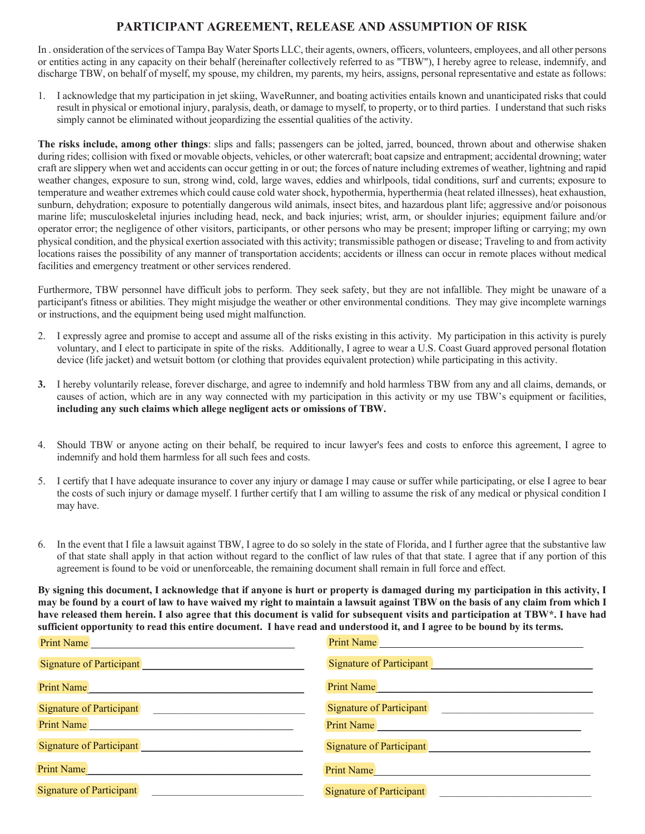### **PARTICIPANT AGREEMENT, RELEASE AND ASSUMPTION OF RISK**

In onsideration of the services of Tampa Bay Water Sports LLC, their agents, owners, officers, volunteers, employees, and all other persons or entities acting in any capacity on their behalf (hereinafter collectively referred to as "TBW"), I hereby agree to release, indemnify, and discharge TBW, on behalf of myself, my spouse, my children, my parents, my heirs, assigns, personal representative and estate as follows:

1. I acknowledge that my participation in jet skiing, WaveRunner, and boating activities entails known and unanticipated risks that could result in physical or emotional injury, paralysis, death, or damage to myself, to property, or to third parties. I understand that such risks simply cannot be eliminated without jeopardizing the essential qualities of the activity.

The risks include, among other things: slips and falls; passengers can be jolted, jarred, bounced, thrown about and otherwise shaken during rides; collision with fixed or movable objects, vehicles, or other watercraft; boat capsize and entrapment; accidental drowning; water craft are slippery when wet and accidents can occur getting in or out; the forces of nature including extremes of weather, lightning and rapid weather changes, exposure to sun, strong wind, cold, large waves, eddies and whirlpools, tidal conditions, surf and currents; exposure to temperature and weather extremes which could cause cold water shock, hypothermia, hyperthermia (heat related illnesses), heat exhaustion, sunburn, dehydration; exposure to potentially dangerous wild animals, insect bites, and hazardous plant life; aggressive and/or poisonous marine life; musculoskeletal injuries including head, neck, and back injuries; wrist, arm, or shoulder injuries; equipment failure and/or operator error; the negligence of other visitors, participants, or other persons who may be present; improper lifting or carrying; my own physical condition, and the physical exertion associated with this activity; transmissible pathogen or disease; Traveling to and from activity locations raises the possibility of any manner of transportation accidents; accidents or illness can occur in remote places without medical facilities and emergency treatment or other services rendered.

Furthermore, TBW personnel have difficult jobs to perform. They seek safety, but they are not infallible. They might be unaware of a participant's fitness or abilities. They might misjudge the weather or other environmental conditions. They may give incomplete warnings or instructions, and the equipment being used might malfunction.

- 2. I expressly agree and promise to accept and assume all of the risks existing in this activity. My participation in this activity is purely voluntary, and I elect to participate in spite of the risks. Additionally, I agree to wear a U.S. Coast Guard approved personal flotation device (life jacket) and wetsuit bottom (or clothing that provides equivalent protection) while participating in this activity.
- **3.** I hereby voluntarily release, forever discharge, and agree to indemnify and hold harmless TBW from any and all claims, demands, or causes of action, which are in any way connected with my participation in this activity or my use TBW's equipment or facilities, **including any such claims which allege negligent acts or omissions of TBW.**
- 4. Should TBW or anyone acting on their behalf, be required to incur lawyer's fees and costs to enforce this agreement, I agree to indemnify and hold them harmless for all such fees and costs
- 5. I certify that I have adequate insurance to cover any injury or damage I may cause or suffer while participating, or else I agree to bear the costs of such injury or damage myself. I further certify that I am willing to assume the risk of any medical or physical condition I may have
- 6. In the event that I file a lawsuit against TBW, I agree to do so solely in the state of Florida, and I further agree that the substantive law of that state shall apply in that action without regard to the conflict of law rules of that that state. I agree that if any portion of this agreement is found to be void or unenforceable, the remaining document shall remain in full force and effect

**By signing this document, I acknowledge that if anyone is hurt or property is damaged during my participation in this activity, I may be found by a court of law to have waived my right to maintain a lawsuit against TBW on the basis of any claim from which I have released them herein. I also agree that this document is valid for subsequent visits and participation at TBW\*. I have had sufficient opportunity to read this entire document. I have read and understood it, and I agree to be bound by its terms.** 

| <b>Print Name</b>               | <b>Print Name</b>               |
|---------------------------------|---------------------------------|
| <b>Signature of Participant</b> | <b>Signature of Participant</b> |
| <b>Print Name</b>               | <b>Print Name</b>               |
| <b>Signature of Participant</b> | <b>Signature of Participant</b> |
| <b>Print Name</b>               | <b>Print Name</b>               |
| <b>Signature of Participant</b> | <b>Signature of Participant</b> |
| <b>Print Name</b>               | <b>Print Name</b>               |
| <b>Signature of Participant</b> | <b>Signature of Participant</b> |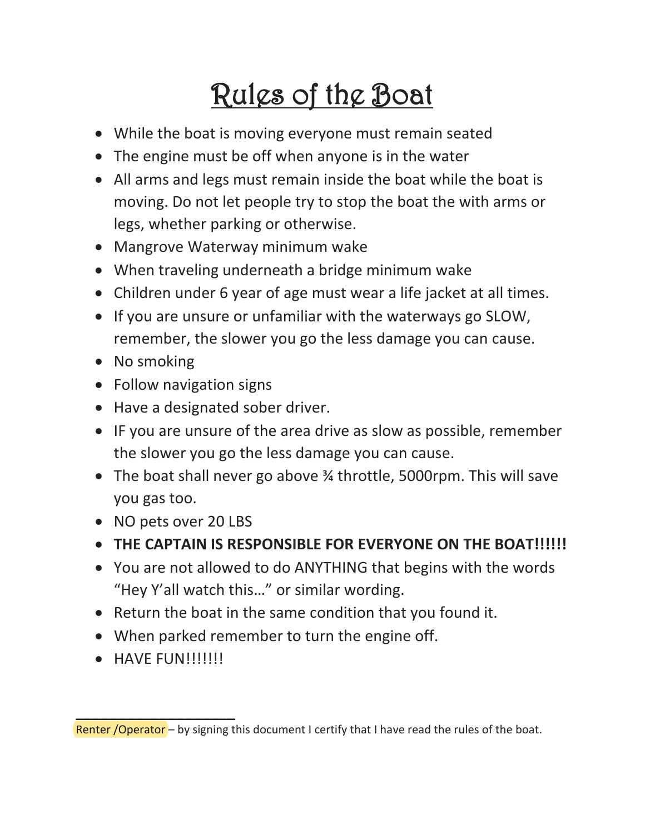# <u>Rules of the Boat</u>

- While the boat is moving everyone must remain seated
- The engine must be off when anyone is in the water
- All arms and legs must remain inside the boat while the boat is moving. Do not let people try to stop the boat the with arms or legs, whether parking or otherwise.
- Mangrove Waterway minimum wake
- When traveling underneath a bridge minimum wake
- Children under 6 year of age must wear a life jacket at all times.
- If you are unsure or unfamiliar with the waterways go SLOW, remember, the slower you go the less damage you can cause.
- No smoking
- Follow navigation signs
- Have a designated sober driver.
- IF you are unsure of the area drive as slow as possible, remember the slower you go the less damage you can cause.
- The boat shall never go above 3/4 throttle, 5000rpm. This will save you gas too.
- NO pets over 20 LBS
- THE CAPTAIN IS RESPONSIBLE FOR EVERYONE ON THE BOAT!!!!!!
- You are not allowed to do ANYTHING that begins with the words "Hey Y'all watch this..." or similar wording.
- Return the boat in the same condition that you found it.
- When parked remember to turn the engine off.
- $\bullet$  HAVE FUN!!!!!!!!

Renter / Operator - by signing this document I certify that I have read the rules of the boat.